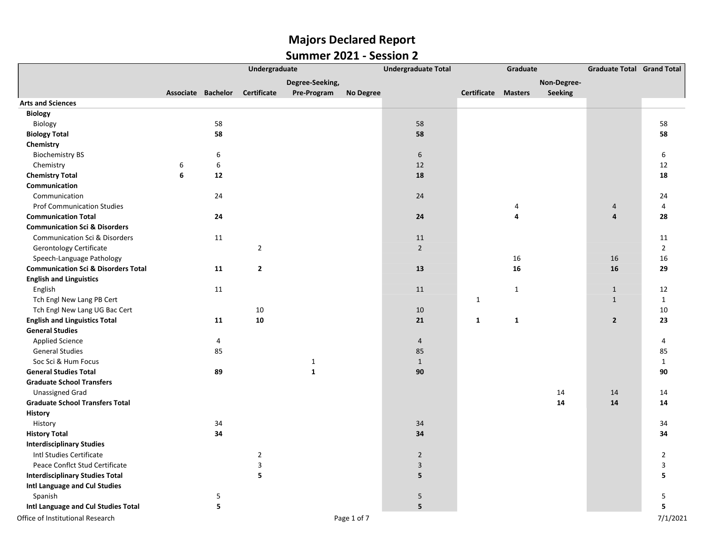|                                                |                    | Undergraduate<br><b>Undergraduate Total</b> |                |                 |                  |                | Graduate                   |              |             | <b>Graduate Total Grand Total</b> |                |
|------------------------------------------------|--------------------|---------------------------------------------|----------------|-----------------|------------------|----------------|----------------------------|--------------|-------------|-----------------------------------|----------------|
|                                                |                    |                                             |                | Degree-Seeking, |                  |                |                            |              | Non-Degree- |                                   |                |
|                                                | Associate Bachelor |                                             | Certificate    | Pre-Program     | <b>No Degree</b> |                | <b>Certificate Masters</b> |              | Seeking     |                                   |                |
| <b>Arts and Sciences</b>                       |                    |                                             |                |                 |                  |                |                            |              |             |                                   |                |
| Biology                                        |                    |                                             |                |                 |                  |                |                            |              |             |                                   |                |
| Biology                                        |                    | 58                                          |                |                 |                  | 58             |                            |              |             |                                   | 58             |
| <b>Biology Total</b>                           |                    | 58                                          |                |                 |                  | 58             |                            |              |             |                                   | 58             |
| Chemistry                                      |                    |                                             |                |                 |                  |                |                            |              |             |                                   |                |
| <b>Biochemistry BS</b>                         |                    | 6                                           |                |                 |                  | 6              |                            |              |             |                                   | 6              |
| Chemistry                                      | 6                  | 6                                           |                |                 |                  | 12             |                            |              |             |                                   | 12             |
| <b>Chemistry Total</b>                         | 6                  | 12                                          |                |                 |                  | 18             |                            |              |             |                                   | 18             |
| Communication                                  |                    |                                             |                |                 |                  |                |                            |              |             |                                   |                |
| Communication                                  |                    | 24                                          |                |                 |                  | 24             |                            |              |             |                                   | 24             |
| <b>Prof Communication Studies</b>              |                    |                                             |                |                 |                  |                |                            | 4            |             | $\overline{a}$                    | 4              |
| <b>Communication Total</b>                     |                    | 24                                          |                |                 |                  | 24             |                            | 4            |             | $\overline{4}$                    | 28             |
| <b>Communication Sci &amp; Disorders</b>       |                    |                                             |                |                 |                  |                |                            |              |             |                                   |                |
| <b>Communication Sci &amp; Disorders</b>       |                    | 11                                          |                |                 |                  | 11             |                            |              |             |                                   | 11             |
| Gerontology Certificate                        |                    |                                             | $\overline{2}$ |                 |                  | $2^{\circ}$    |                            |              |             |                                   | $\overline{2}$ |
| Speech-Language Pathology                      |                    |                                             |                |                 |                  |                |                            | 16           |             | 16                                | 16             |
| <b>Communication Sci &amp; Disorders Total</b> |                    | 11                                          | $\mathbf{2}$   |                 |                  | 13             |                            | 16           |             | 16                                | 29             |
| <b>English and Linguistics</b>                 |                    |                                             |                |                 |                  |                |                            |              |             |                                   |                |
| English                                        |                    | 11                                          |                |                 |                  | 11             |                            | $\mathbf{1}$ |             | $\mathbf{1}$                      | 12             |
| Tch Engl New Lang PB Cert                      |                    |                                             |                |                 |                  |                | $\mathbf{1}$               |              |             | $\mathbf{1}$                      | $\mathbf{1}$   |
| Tch Engl New Lang UG Bac Cert                  |                    |                                             | 10             |                 |                  | 10             |                            |              |             |                                   | 10             |
| <b>English and Linguistics Total</b>           |                    | 11                                          | 10             |                 |                  | 21             | $\mathbf{1}$               | $\mathbf{1}$ |             | $\overline{2}$                    | 23             |
| <b>General Studies</b>                         |                    |                                             |                |                 |                  |                |                            |              |             |                                   |                |
| <b>Applied Science</b>                         |                    | 4                                           |                |                 |                  | $\overline{4}$ |                            |              |             |                                   | 4              |
| <b>General Studies</b>                         |                    | 85                                          |                |                 |                  | 85             |                            |              |             |                                   | 85             |
| Soc Sci & Hum Focus                            |                    |                                             |                | $\mathbf 1$     |                  | $\mathbf{1}$   |                            |              |             |                                   | $\mathbf{1}$   |
| <b>General Studies Total</b>                   |                    | 89                                          |                | $\mathbf 1$     |                  | 90             |                            |              |             |                                   | 90             |
| <b>Graduate School Transfers</b>               |                    |                                             |                |                 |                  |                |                            |              |             |                                   |                |
| <b>Unassigned Grad</b>                         |                    |                                             |                |                 |                  |                |                            |              | 14          | 14                                | 14             |
| <b>Graduate School Transfers Total</b>         |                    |                                             |                |                 |                  |                |                            |              | 14          | 14                                | 14             |
| History                                        |                    |                                             |                |                 |                  |                |                            |              |             |                                   |                |
| History                                        |                    | 34                                          |                |                 |                  | 34             |                            |              |             |                                   | 34             |
| <b>History Total</b>                           |                    | 34                                          |                |                 |                  | 34             |                            |              |             |                                   | 34             |
| <b>Interdisciplinary Studies</b>               |                    |                                             |                |                 |                  |                |                            |              |             |                                   |                |
| Intl Studies Certificate                       |                    |                                             | $\mathbf 2$    |                 |                  | $\overline{2}$ |                            |              |             |                                   | $\overline{2}$ |
| Peace Conflct Stud Certificate                 |                    |                                             | 3              |                 |                  | $\mathbf{3}$   |                            |              |             |                                   | $\overline{3}$ |
| <b>Interdisciplinary Studies Total</b>         |                    |                                             | 5              |                 |                  | 5              |                            |              |             |                                   | 5              |
| Intl Language and Cul Studies                  |                    |                                             |                |                 |                  |                |                            |              |             |                                   |                |
| Spanish                                        |                    | 5                                           |                |                 |                  | 5              |                            |              |             |                                   | 5              |
| Intl Language and Cul Studies Total            |                    | 5                                           |                |                 |                  | 5 <sup>5</sup> |                            |              |             |                                   | 5              |
| Office of Institutional Research               |                    |                                             |                |                 | Page 1 of 7      |                |                            |              |             |                                   | 7/1/2021       |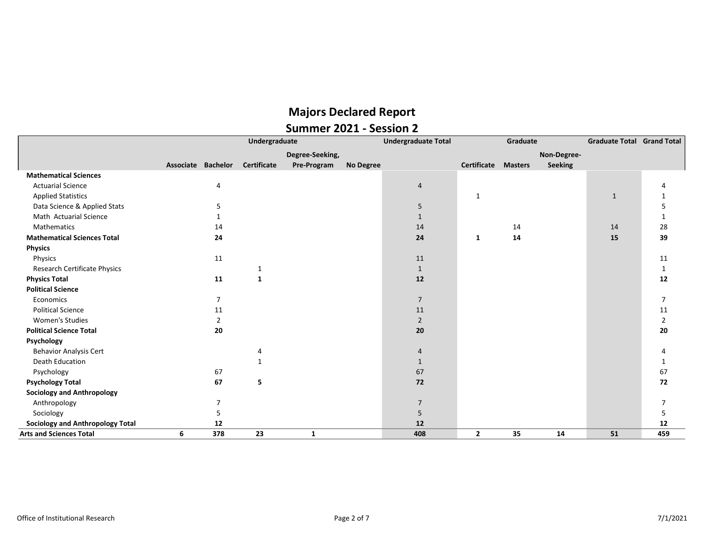|                                         | Undergraduate      |                |              |                 |           | <b>Undergraduate Total</b> |                            | Graduate | <b>Graduate Total Grand Total</b> |              |                |
|-----------------------------------------|--------------------|----------------|--------------|-----------------|-----------|----------------------------|----------------------------|----------|-----------------------------------|--------------|----------------|
|                                         |                    |                |              | Degree-Seeking, |           |                            |                            |          | Non-Degree-                       |              |                |
|                                         | Associate Bachelor |                | Certificate  | Pre-Program     | No Degree |                            | <b>Certificate Masters</b> |          | <b>Seeking</b>                    |              |                |
| <b>Mathematical Sciences</b>            |                    |                |              |                 |           |                            |                            |          |                                   |              |                |
| <b>Actuarial Science</b>                |                    | 4              |              |                 |           | 4                          |                            |          |                                   |              |                |
| <b>Applied Statistics</b>               |                    |                |              |                 |           |                            | $\mathbf{1}$               |          |                                   | $\mathbf{1}$ |                |
| Data Science & Applied Stats            |                    | 5              |              |                 |           | 5                          |                            |          |                                   |              |                |
| Math Actuarial Science                  |                    |                |              |                 |           | $\mathbf{1}$               |                            |          |                                   |              |                |
| <b>Mathematics</b>                      |                    | 14             |              |                 |           | 14                         |                            | 14       |                                   | 14           | 28             |
| <b>Mathematical Sciences Total</b>      |                    | 24             |              |                 |           | 24                         | 1                          | 14       |                                   | 15           | 39             |
| <b>Physics</b>                          |                    |                |              |                 |           |                            |                            |          |                                   |              |                |
| Physics                                 |                    | 11             |              |                 |           | 11                         |                            |          |                                   |              | 11             |
| <b>Research Certificate Physics</b>     |                    |                | 1            |                 |           | $\mathbf{1}$               |                            |          |                                   |              | 1              |
| <b>Physics Total</b>                    |                    | 11             | $\mathbf{1}$ |                 |           | 12                         |                            |          |                                   |              | 12             |
| <b>Political Science</b>                |                    |                |              |                 |           |                            |                            |          |                                   |              |                |
| Economics                               |                    | $\overline{7}$ |              |                 |           | $\overline{7}$             |                            |          |                                   |              | $\overline{7}$ |
| <b>Political Science</b>                |                    | 11             |              |                 |           | 11                         |                            |          |                                   |              | 11             |
| <b>Women's Studies</b>                  |                    | $\overline{2}$ |              |                 |           | $\overline{2}$             |                            |          |                                   |              | $\overline{2}$ |
| <b>Political Science Total</b>          |                    | 20             |              |                 |           | 20                         |                            |          |                                   |              | 20             |
| Psychology                              |                    |                |              |                 |           |                            |                            |          |                                   |              |                |
| <b>Behavior Analysis Cert</b>           |                    |                | 4            |                 |           | 4                          |                            |          |                                   |              |                |
| <b>Death Education</b>                  |                    |                | $\mathbf{1}$ |                 |           | $\mathbf{1}$               |                            |          |                                   |              |                |
| Psychology                              |                    | 67             |              |                 |           | 67                         |                            |          |                                   |              | 67             |
| <b>Psychology Total</b>                 |                    | 67             | 5            |                 |           | 72                         |                            |          |                                   |              | 72             |
| <b>Sociology and Anthropology</b>       |                    |                |              |                 |           |                            |                            |          |                                   |              |                |
| Anthropology                            |                    | 7              |              |                 |           | $\overline{7}$             |                            |          |                                   |              |                |
| Sociology                               |                    | 5              |              |                 |           | 5                          |                            |          |                                   |              | 5              |
| <b>Sociology and Anthropology Total</b> |                    | 12             |              |                 |           | 12                         |                            |          |                                   |              | 12             |
| <b>Arts and Sciences Total</b>          | 6                  | 378            | 23           | 1               |           | 408                        | $\mathbf{2}$               | 35       | 14                                | 51           | 459            |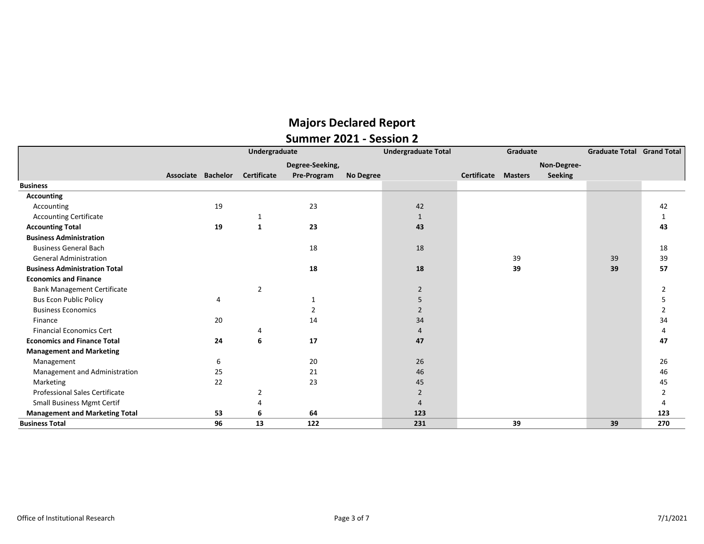|                                       | Undergraduate |                    |                    |                 |                  | <b>Undergraduate Total</b> |             | Graduate       |                | <b>Graduate Total Grand Total</b> |                |
|---------------------------------------|---------------|--------------------|--------------------|-----------------|------------------|----------------------------|-------------|----------------|----------------|-----------------------------------|----------------|
|                                       |               |                    |                    | Degree-Seeking, |                  |                            |             |                | Non-Degree-    |                                   |                |
|                                       |               | Associate Bachelor | <b>Certificate</b> | Pre-Program     | <b>No Degree</b> |                            | Certificate | <b>Masters</b> | <b>Seeking</b> |                                   |                |
| <b>Business</b>                       |               |                    |                    |                 |                  |                            |             |                |                |                                   |                |
| <b>Accounting</b>                     |               |                    |                    |                 |                  |                            |             |                |                |                                   |                |
| Accounting                            |               | 19                 |                    | 23              |                  | 42                         |             |                |                |                                   | 42             |
| <b>Accounting Certificate</b>         |               |                    |                    |                 |                  | $\mathbf{1}$               |             |                |                |                                   | 1              |
| <b>Accounting Total</b>               |               | 19                 | 1                  | 23              |                  | 43                         |             |                |                |                                   | 43             |
| <b>Business Administration</b>        |               |                    |                    |                 |                  |                            |             |                |                |                                   |                |
| <b>Business General Bach</b>          |               |                    |                    | 18              |                  | 18                         |             |                |                |                                   | 18             |
| <b>General Administration</b>         |               |                    |                    |                 |                  |                            |             | 39             |                | 39                                | 39             |
| <b>Business Administration Total</b>  |               |                    |                    | 18              |                  | 18                         |             | 39             |                | 39                                | 57             |
| <b>Economics and Finance</b>          |               |                    |                    |                 |                  |                            |             |                |                |                                   |                |
| <b>Bank Management Certificate</b>    |               |                    | $\overline{2}$     |                 |                  | $\overline{2}$             |             |                |                |                                   |                |
| <b>Bus Econ Public Policy</b>         |               | 4                  |                    | 1               |                  | 5                          |             |                |                |                                   |                |
| <b>Business Economics</b>             |               |                    |                    |                 |                  | $\overline{2}$             |             |                |                |                                   | 2              |
| Finance                               |               | 20                 |                    | 14              |                  | 34                         |             |                |                |                                   | 34             |
| <b>Financial Economics Cert</b>       |               |                    | 4                  |                 |                  | 4                          |             |                |                |                                   |                |
| <b>Economics and Finance Total</b>    |               | 24                 | 6                  | 17              |                  | 47                         |             |                |                |                                   | 47             |
| <b>Management and Marketing</b>       |               |                    |                    |                 |                  |                            |             |                |                |                                   |                |
| Management                            |               | 6                  |                    | 20              |                  | 26                         |             |                |                |                                   | 26             |
| Management and Administration         |               | 25                 |                    | 21              |                  | 46                         |             |                |                |                                   | 46             |
| Marketing                             |               | 22                 |                    | 23              |                  | 45                         |             |                |                |                                   | 45             |
| Professional Sales Certificate        |               |                    | 2                  |                 |                  | $\overline{2}$             |             |                |                |                                   | $\overline{2}$ |
| Small Business Mgmt Certif            |               |                    |                    |                 |                  | 4                          |             |                |                |                                   |                |
| <b>Management and Marketing Total</b> |               | 53                 | 6                  | 64              |                  | 123                        |             |                |                |                                   | 123            |
| <b>Business Total</b>                 |               | 96                 | 13                 | 122             |                  | 231                        |             | 39             |                | 39                                | 270            |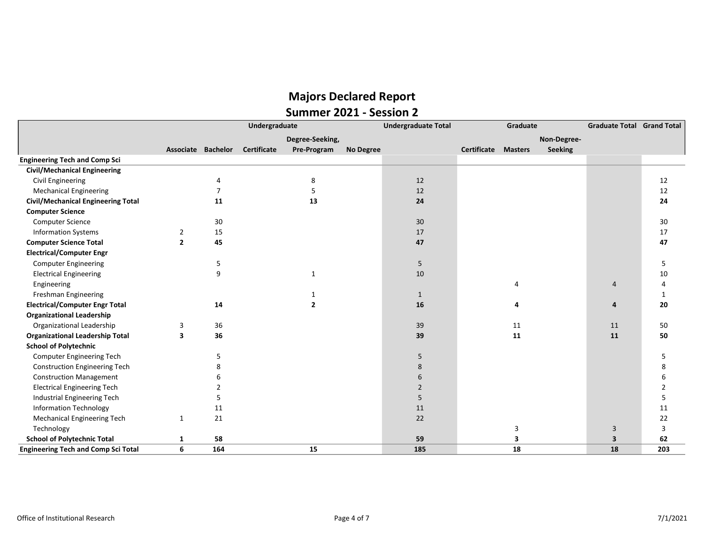|                                            | Undergraduate      |                |                    |                 |                  | <b>Undergraduate Total</b> |             | Graduate       |                | <b>Graduate Total Grand Total</b> |              |
|--------------------------------------------|--------------------|----------------|--------------------|-----------------|------------------|----------------------------|-------------|----------------|----------------|-----------------------------------|--------------|
|                                            |                    |                |                    | Degree-Seeking, |                  |                            |             |                | Non-Degree-    |                                   |              |
|                                            | Associate Bachelor |                | <b>Certificate</b> | Pre-Program     | <b>No Degree</b> |                            | Certificate | <b>Masters</b> | <b>Seeking</b> |                                   |              |
| <b>Engineering Tech and Comp Sci</b>       |                    |                |                    |                 |                  |                            |             |                |                |                                   |              |
| <b>Civil/Mechanical Engineering</b>        |                    |                |                    |                 |                  |                            |             |                |                |                                   |              |
| Civil Engineering                          |                    | 4              |                    | 8               |                  | 12                         |             |                |                |                                   | 12           |
| <b>Mechanical Engineering</b>              |                    | $\overline{7}$ |                    | 5               |                  | 12                         |             |                |                |                                   | 12           |
| <b>Civil/Mechanical Engineering Total</b>  |                    | 11             |                    | 13              |                  | 24                         |             |                |                |                                   | 24           |
| <b>Computer Science</b>                    |                    |                |                    |                 |                  |                            |             |                |                |                                   |              |
| Computer Science                           |                    | 30             |                    |                 |                  | 30                         |             |                |                |                                   | 30           |
| <b>Information Systems</b>                 | $\overline{2}$     | 15             |                    |                 |                  | 17                         |             |                |                |                                   | 17           |
| <b>Computer Science Total</b>              | $\overline{2}$     | 45             |                    |                 |                  | 47                         |             |                |                |                                   | 47           |
| <b>Electrical/Computer Engr</b>            |                    |                |                    |                 |                  |                            |             |                |                |                                   |              |
| <b>Computer Engineering</b>                |                    | 5              |                    |                 |                  | 5                          |             |                |                |                                   | 5            |
| <b>Electrical Engineering</b>              |                    | 9              |                    | $\mathbf{1}$    |                  | 10                         |             |                |                |                                   | 10           |
| Engineering                                |                    |                |                    |                 |                  |                            |             |                |                | $\overline{4}$                    | 4            |
| Freshman Engineering                       |                    |                |                    |                 |                  | $\mathbf{1}$               |             |                |                |                                   | $\mathbf{1}$ |
| <b>Electrical/Computer Engr Total</b>      |                    | 14             |                    | $\mathbf{2}$    |                  | ${\bf 16}$                 |             |                |                | 4                                 | 20           |
| <b>Organizational Leadership</b>           |                    |                |                    |                 |                  |                            |             |                |                |                                   |              |
| Organizational Leadership                  | 3                  | 36             |                    |                 |                  | 39                         |             | 11             |                | 11                                | 50           |
| <b>Organizational Leadership Total</b>     | 3                  | 36             |                    |                 |                  | 39                         |             | 11             |                | 11                                | 50           |
| <b>School of Polytechnic</b>               |                    |                |                    |                 |                  |                            |             |                |                |                                   |              |
| Computer Engineering Tech                  |                    | 5              |                    |                 |                  | 5                          |             |                |                |                                   | 5            |
| <b>Construction Engineering Tech</b>       |                    |                |                    |                 |                  | 8                          |             |                |                |                                   | 8            |
| <b>Construction Management</b>             |                    |                |                    |                 |                  | 6                          |             |                |                |                                   | 6            |
| <b>Electrical Engineering Tech</b>         |                    |                |                    |                 |                  | $\overline{2}$             |             |                |                |                                   | 2            |
| Industrial Engineering Tech                |                    | 5              |                    |                 |                  | 5                          |             |                |                |                                   | 5            |
| <b>Information Technology</b>              |                    | 11             |                    |                 |                  | 11                         |             |                |                |                                   | 11           |
| <b>Mechanical Engineering Tech</b>         | 1                  | 21             |                    |                 |                  | 22                         |             |                |                |                                   | 22           |
| Technology                                 |                    |                |                    |                 |                  |                            |             | 3              |                | 3                                 | 3            |
| <b>School of Polytechnic Total</b>         | 1                  | 58             |                    |                 |                  | 59                         |             | 3              |                | $\overline{\mathbf{3}}$           | 62           |
| <b>Engineering Tech and Comp Sci Total</b> | 6                  | 164            |                    | 15              |                  | 185                        |             | 18             |                | 18                                | 203          |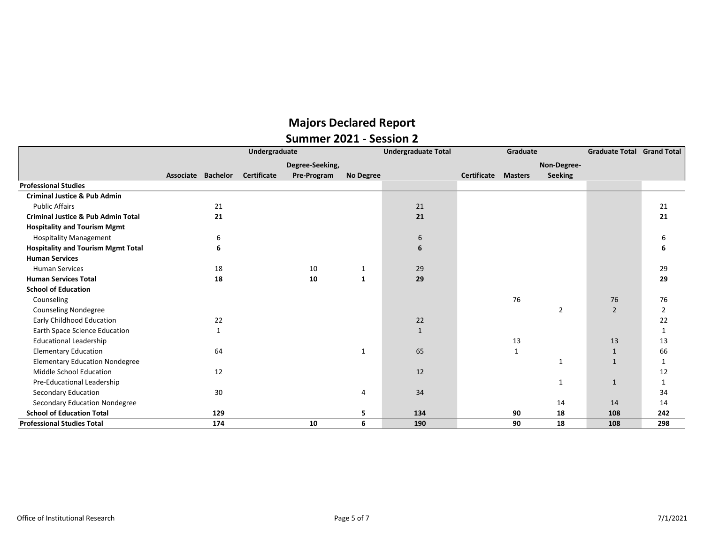|                                               | Undergraduate |                    |             |             |                  | <b>Undergraduate Total</b> |             | Graduate       | <b>Graduate Total</b> | <b>Grand Total</b> |             |
|-----------------------------------------------|---------------|--------------------|-------------|-------------|------------------|----------------------------|-------------|----------------|-----------------------|--------------------|-------------|
|                                               |               | Degree-Seeking,    |             |             |                  |                            | Non-Degree- |                |                       |                    |             |
|                                               |               | Associate Bachelor | Certificate | Pre-Program | <b>No Degree</b> |                            | Certificate | <b>Masters</b> | <b>Seeking</b>        |                    |             |
| <b>Professional Studies</b>                   |               |                    |             |             |                  |                            |             |                |                       |                    |             |
| <b>Criminal Justice &amp; Pub Admin</b>       |               |                    |             |             |                  |                            |             |                |                       |                    |             |
| <b>Public Affairs</b>                         |               | 21                 |             |             |                  | 21                         |             |                |                       |                    | 21          |
| <b>Criminal Justice &amp; Pub Admin Total</b> |               | 21                 |             |             |                  | 21                         |             |                |                       |                    | 21          |
| <b>Hospitality and Tourism Mgmt</b>           |               |                    |             |             |                  |                            |             |                |                       |                    |             |
| <b>Hospitality Management</b>                 |               | 6                  |             |             |                  | 6                          |             |                |                       |                    | 6           |
| <b>Hospitality and Tourism Mgmt Total</b>     |               | 6                  |             |             |                  | 6                          |             |                |                       |                    |             |
| <b>Human Services</b>                         |               |                    |             |             |                  |                            |             |                |                       |                    |             |
| <b>Human Services</b>                         |               | 18                 |             | 10          | 1                | 29                         |             |                |                       |                    | 29          |
| <b>Human Services Total</b>                   |               | 18                 |             | 10          | 1                | 29                         |             |                |                       |                    | 29          |
| <b>School of Education</b>                    |               |                    |             |             |                  |                            |             |                |                       |                    |             |
| Counseling                                    |               |                    |             |             |                  |                            |             | 76             |                       | 76                 | 76          |
| <b>Counseling Nondegree</b>                   |               |                    |             |             |                  |                            |             |                | $\overline{2}$        | $\overline{2}$     | 2           |
| Early Childhood Education                     |               | 22                 |             |             |                  | 22                         |             |                |                       |                    | 22          |
| Earth Space Science Education                 |               | 1                  |             |             |                  | $\mathbf{1}$               |             |                |                       |                    | 1           |
| <b>Educational Leadership</b>                 |               |                    |             |             |                  |                            |             | 13             |                       | 13                 | 13          |
| <b>Elementary Education</b>                   |               | 64                 |             |             | 1                | 65                         |             | $\mathbf{1}$   |                       | $\mathbf{1}$       | 66          |
| <b>Elementary Education Nondegree</b>         |               |                    |             |             |                  |                            |             |                | 1                     | $\mathbf{1}$       | 1           |
| Middle School Education                       |               | 12                 |             |             |                  | 12                         |             |                |                       |                    | 12          |
| Pre-Educational Leadership                    |               |                    |             |             |                  |                            |             |                | 1                     | $\mathbf{1}$       | $\mathbf 1$ |
| Secondary Education                           |               | 30                 |             |             | 4                | 34                         |             |                |                       |                    | 34          |
| Secondary Education Nondegree                 |               |                    |             |             |                  |                            |             |                | 14                    | 14                 | 14          |
| <b>School of Education Total</b>              |               | 129                |             |             | 5                | 134                        |             | 90             | 18                    | 108                | 242         |
| <b>Professional Studies Total</b>             |               | 174                |             | 10          | 6                | 190                        |             | 90             | 18                    | 108                | 298         |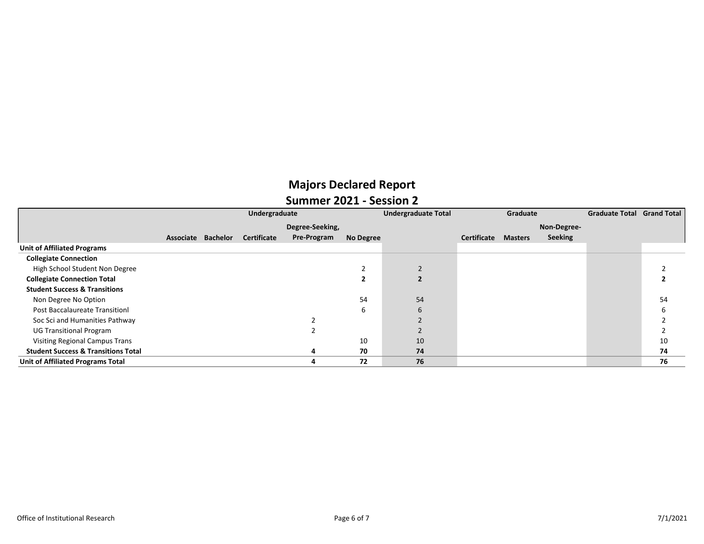|                                                | Undergraduate      |  |                    |                 |                  | <b>Undergraduate Total</b> | Graduate           |                |             | <b>Graduate Total Grand Total</b> |    |
|------------------------------------------------|--------------------|--|--------------------|-----------------|------------------|----------------------------|--------------------|----------------|-------------|-----------------------------------|----|
|                                                |                    |  |                    | Degree-Seeking, |                  |                            |                    |                | Non-Degree- |                                   |    |
|                                                | Associate Bachelor |  | <b>Certificate</b> | Pre-Program     | <b>No Degree</b> |                            | <b>Certificate</b> | <b>Masters</b> | Seeking     |                                   |    |
| <b>Unit of Affiliated Programs</b>             |                    |  |                    |                 |                  |                            |                    |                |             |                                   |    |
| <b>Collegiate Connection</b>                   |                    |  |                    |                 |                  |                            |                    |                |             |                                   |    |
| High School Student Non Degree                 |                    |  |                    |                 |                  |                            |                    |                |             |                                   |    |
| <b>Collegiate Connection Total</b>             |                    |  |                    |                 |                  |                            |                    |                |             |                                   |    |
| <b>Student Success &amp; Transitions</b>       |                    |  |                    |                 |                  |                            |                    |                |             |                                   |    |
| Non Degree No Option                           |                    |  |                    |                 | 54               | 54                         |                    |                |             |                                   | 54 |
| <b>Post Baccalaureate Transitionl</b>          |                    |  |                    |                 | 6                | 6                          |                    |                |             |                                   |    |
| Soc Sci and Humanities Pathway                 |                    |  |                    |                 |                  |                            |                    |                |             |                                   |    |
| <b>UG Transitional Program</b>                 |                    |  |                    |                 |                  |                            |                    |                |             |                                   |    |
| <b>Visiting Regional Campus Trans</b>          |                    |  |                    |                 | 10               | 10                         |                    |                |             |                                   | 10 |
| <b>Student Success &amp; Transitions Total</b> |                    |  |                    |                 | 70               | 74                         |                    |                |             |                                   | 74 |
| Unit of Affiliated Programs Total              |                    |  |                    |                 | 72               | 76                         |                    |                |             |                                   | 76 |